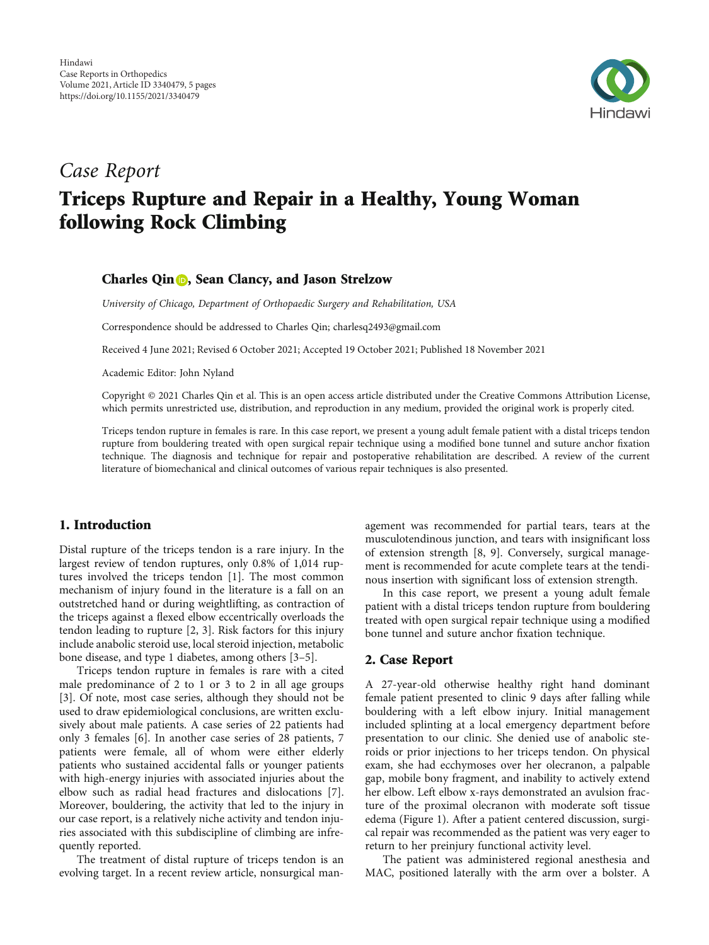

# Case Report

# Triceps Rupture and Repair in a Healthy, Young Woman following Rock Climbing

### Charles Qin **D**[,](https://orcid.org/0000-0002-2380-2693) Sean Clancy, and Jason Strelzow

University of Chicago, Department of Orthopaedic Surgery and Rehabilitation, USA

Correspondence should be addressed to Charles Qin; charlesq2493@gmail.com

Received 4 June 2021; Revised 6 October 2021; Accepted 19 October 2021; Published 18 November 2021

Academic Editor: John Nyland

Copyright © 2021 Charles Qin et al. This is an open access article distributed under the [Creative Commons Attribution License](https://creativecommons.org/licenses/by/4.0/), which permits unrestricted use, distribution, and reproduction in any medium, provided the original work is properly cited.

Triceps tendon rupture in females is rare. In this case report, we present a young adult female patient with a distal triceps tendon rupture from bouldering treated with open surgical repair technique using a modified bone tunnel and suture anchor fixation technique. The diagnosis and technique for repair and postoperative rehabilitation are described. A review of the current literature of biomechanical and clinical outcomes of various repair techniques is also presented.

# 1. Introduction

Distal rupture of the triceps tendon is a rare injury. In the largest review of tendon ruptures, only 0.8% of 1,014 ruptures involved the triceps tendon [\[1](#page-4-0)]. The most common mechanism of injury found in the literature is a fall on an outstretched hand or during weightlifting, as contraction of the triceps against a flexed elbow eccentrically overloads the tendon leading to rupture [[2, 3\]](#page-4-0). Risk factors for this injury include anabolic steroid use, local steroid injection, metabolic bone disease, and type 1 diabetes, among others [\[3](#page-4-0)–[5\]](#page-4-0).

Triceps tendon rupture in females is rare with a cited male predominance of 2 to 1 or 3 to 2 in all age groups [\[3](#page-4-0)]. Of note, most case series, although they should not be used to draw epidemiological conclusions, are written exclusively about male patients. A case series of 22 patients had only 3 females [[6\]](#page-4-0). In another case series of 28 patients, 7 patients were female, all of whom were either elderly patients who sustained accidental falls or younger patients with high-energy injuries with associated injuries about the elbow such as radial head fractures and dislocations [[7](#page-4-0)]. Moreover, bouldering, the activity that led to the injury in our case report, is a relatively niche activity and tendon injuries associated with this subdiscipline of climbing are infrequently reported.

The treatment of distal rupture of triceps tendon is an evolving target. In a recent review article, nonsurgical management was recommended for partial tears, tears at the musculotendinous junction, and tears with insignificant loss of extension strength [[8, 9\]](#page-4-0). Conversely, surgical management is recommended for acute complete tears at the tendinous insertion with significant loss of extension strength.

In this case report, we present a young adult female patient with a distal triceps tendon rupture from bouldering treated with open surgical repair technique using a modified bone tunnel and suture anchor fixation technique.

### 2. Case Report

A 27-year-old otherwise healthy right hand dominant female patient presented to clinic 9 days after falling while bouldering with a left elbow injury. Initial management included splinting at a local emergency department before presentation to our clinic. She denied use of anabolic steroids or prior injections to her triceps tendon. On physical exam, she had ecchymoses over her olecranon, a palpable gap, mobile bony fragment, and inability to actively extend her elbow. Left elbow x-rays demonstrated an avulsion fracture of the proximal olecranon with moderate soft tissue edema (Figure [1](#page-1-0)). After a patient centered discussion, surgical repair was recommended as the patient was very eager to return to her preinjury functional activity level.

The patient was administered regional anesthesia and MAC, positioned laterally with the arm over a bolster. A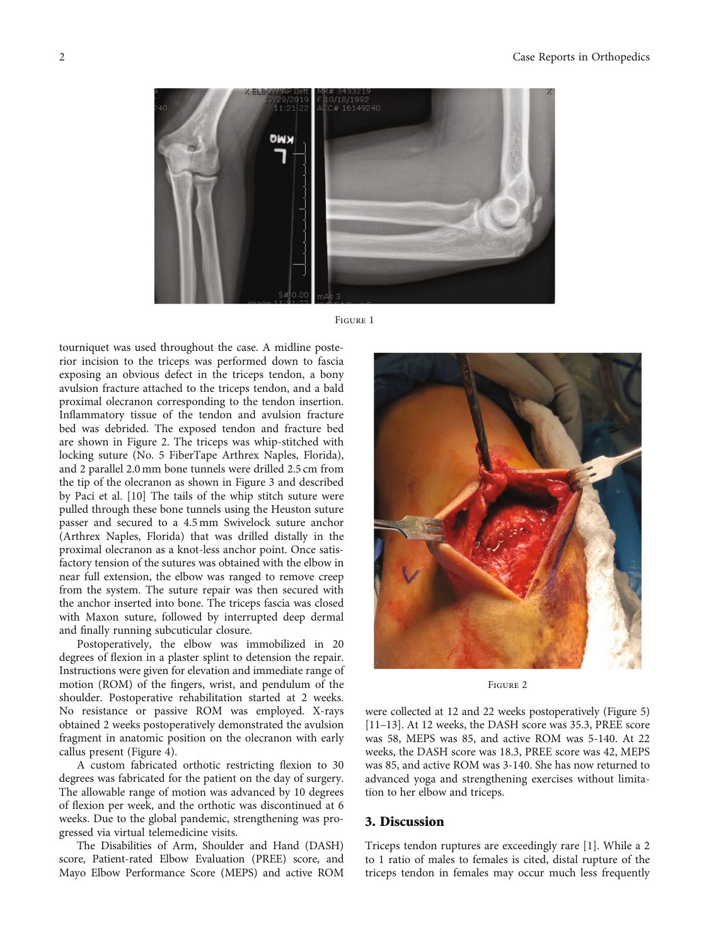<span id="page-1-0"></span>

Figure <sup>1</sup>

tourniquet was used throughout the case. A midline posterior incision to the triceps was performed down to fascia exposing an obvious defect in the triceps tendon, a bony avulsion fracture attached to the triceps tendon, and a bald proximal olecranon corresponding to the tendon insertion. Inflammatory tissue of the tendon and avulsion fracture bed was debrided. The exposed tendon and fracture bed are shown in Figure 2. The triceps was whip-stitched with locking suture (No. 5 FiberTape Arthrex Naples, Florida), and 2 parallel 2.0 mm bone tunnels were drilled 2.5 cm from the tip of the olecranon as shown in Figure [3](#page-2-0) and described by Paci et al. [[10](#page-4-0)] The tails of the whip stitch suture were pulled through these bone tunnels using the Heuston suture passer and secured to a 4.5 mm Swivelock suture anchor (Arthrex Naples, Florida) that was drilled distally in the proximal olecranon as a knot-less anchor point. Once satisfactory tension of the sutures was obtained with the elbow in near full extension, the elbow was ranged to remove creep from the system. The suture repair was then secured with the anchor inserted into bone. The triceps fascia was closed with Maxon suture, followed by interrupted deep dermal and finally running subcuticular closure.

Postoperatively, the elbow was immobilized in 20 degrees of flexion in a plaster splint to detension the repair. Instructions were given for elevation and immediate range of motion (ROM) of the fingers, wrist, and pendulum of the shoulder. Postoperative rehabilitation started at 2 weeks. No resistance or passive ROM was employed. X-rays obtained 2 weeks postoperatively demonstrated the avulsion fragment in anatomic position on the olecranon with early callus present (Figure [4](#page-2-0)).

A custom fabricated orthotic restricting flexion to 30 degrees was fabricated for the patient on the day of surgery. The allowable range of motion was advanced by 10 degrees of flexion per week, and the orthotic was discontinued at 6 weeks. Due to the global pandemic, strengthening was progressed via virtual telemedicine visits.

The Disabilities of Arm, Shoulder and Hand (DASH) score, Patient-rated Elbow Evaluation (PREE) score, and Mayo Elbow Performance Score (MEPS) and active ROM



Figure <sup>2</sup>

were collected at 12 and 22 weeks postoperatively (Figure [5\)](#page-3-0) [\[11](#page-4-0)–[13](#page-4-0)]. At 12 weeks, the DASH score was 35.3, PREE score was 58, MEPS was 85, and active ROM was 5-140. At 22 weeks, the DASH score was 18.3, PREE score was 42, MEPS was 85, and active ROM was 3-140. She has now returned to advanced yoga and strengthening exercises without limitation to her elbow and triceps.

#### 3. Discussion

Triceps tendon ruptures are exceedingly rare [[1\]](#page-4-0). While a 2 to 1 ratio of males to females is cited, distal rupture of the triceps tendon in females may occur much less frequently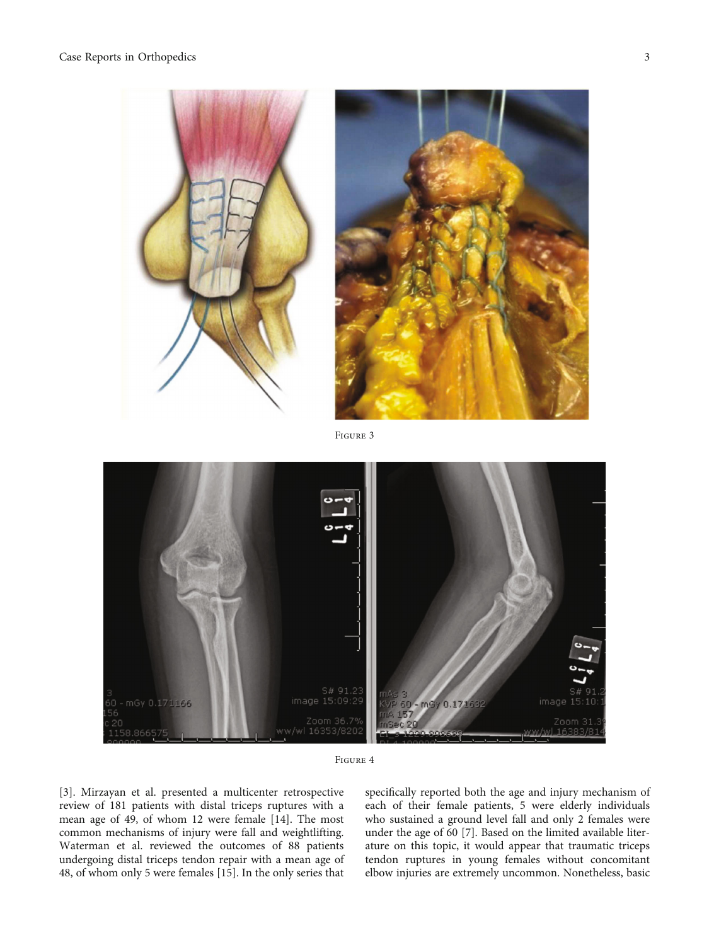<span id="page-2-0"></span>

Figure <sup>3</sup>



Figure <sup>4</sup>

[\[3](#page-4-0)]. Mirzayan et al. presented a multicenter retrospective review of 181 patients with distal triceps ruptures with a mean age of 49, of whom 12 were female [\[14\]](#page-4-0). The most common mechanisms of injury were fall and weightlifting. Waterman et al. reviewed the outcomes of 88 patients undergoing distal triceps tendon repair with a mean age of 48, of whom only 5 were females [[15](#page-4-0)]. In the only series that

specifically reported both the age and injury mechanism of each of their female patients, 5 were elderly individuals who sustained a ground level fall and only 2 females were under the age of 60 [[7\]](#page-4-0). Based on the limited available literature on this topic, it would appear that traumatic triceps tendon ruptures in young females without concomitant elbow injuries are extremely uncommon. Nonetheless, basic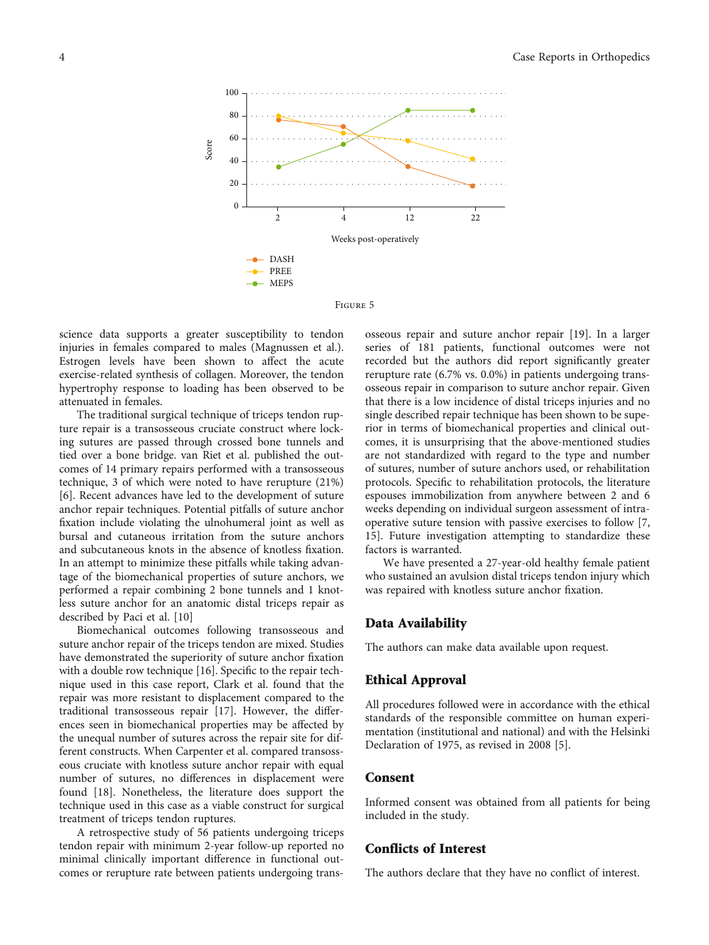<span id="page-3-0"></span>

Figure <sup>5</sup>

science data supports a greater susceptibility to tendon injuries in females compared to males (Magnussen et al.). Estrogen levels have been shown to affect the acute exercise-related synthesis of collagen. Moreover, the tendon hypertrophy response to loading has been observed to be attenuated in females.

The traditional surgical technique of triceps tendon rupture repair is a transosseous cruciate construct where locking sutures are passed through crossed bone tunnels and tied over a bone bridge. van Riet et al. published the outcomes of 14 primary repairs performed with a transosseous technique, 3 of which were noted to have rerupture (21%) [\[6](#page-4-0)]. Recent advances have led to the development of suture anchor repair techniques. Potential pitfalls of suture anchor fixation include violating the ulnohumeral joint as well as bursal and cutaneous irritation from the suture anchors and subcutaneous knots in the absence of knotless fixation. In an attempt to minimize these pitfalls while taking advantage of the biomechanical properties of suture anchors, we performed a repair combining 2 bone tunnels and 1 knotless suture anchor for an anatomic distal triceps repair as described by Paci et al. [\[10](#page-4-0)]

Biomechanical outcomes following transosseous and suture anchor repair of the triceps tendon are mixed. Studies have demonstrated the superiority of suture anchor fixation with a double row technique [\[16\]](#page-4-0). Specific to the repair technique used in this case report, Clark et al. found that the repair was more resistant to displacement compared to the traditional transosseous repair [[17](#page-4-0)]. However, the differences seen in biomechanical properties may be affected by the unequal number of sutures across the repair site for different constructs. When Carpenter et al. compared transosseous cruciate with knotless suture anchor repair with equal number of sutures, no differences in displacement were found [[18](#page-4-0)]. Nonetheless, the literature does support the technique used in this case as a viable construct for surgical treatment of triceps tendon ruptures.

A retrospective study of 56 patients undergoing triceps tendon repair with minimum 2-year follow-up reported no minimal clinically important difference in functional outcomes or rerupture rate between patients undergoing transosseous repair and suture anchor repair [\[19\]](#page-4-0). In a larger series of 181 patients, functional outcomes were not recorded but the authors did report significantly greater rerupture rate (6.7% vs. 0.0%) in patients undergoing transosseous repair in comparison to suture anchor repair. Given that there is a low incidence of distal triceps injuries and no single described repair technique has been shown to be superior in terms of biomechanical properties and clinical outcomes, it is unsurprising that the above-mentioned studies are not standardized with regard to the type and number of sutures, number of suture anchors used, or rehabilitation protocols. Specific to rehabilitation protocols, the literature espouses immobilization from anywhere between 2 and 6 weeks depending on individual surgeon assessment of intraoperative suture tension with passive exercises to follow [\[7,](#page-4-0) [15\]](#page-4-0). Future investigation attempting to standardize these factors is warranted.

We have presented a 27-year-old healthy female patient who sustained an avulsion distal triceps tendon injury which was repaired with knotless suture anchor fixation.

### Data Availability

The authors can make data available upon request.

## Ethical Approval

All procedures followed were in accordance with the ethical standards of the responsible committee on human experimentation (institutional and national) and with the Helsinki Declaration of 1975, as revised in 2008 [[5](#page-4-0)].

#### Consent

Informed consent was obtained from all patients for being included in the study.

#### Conflicts of Interest

The authors declare that they have no conflict of interest.